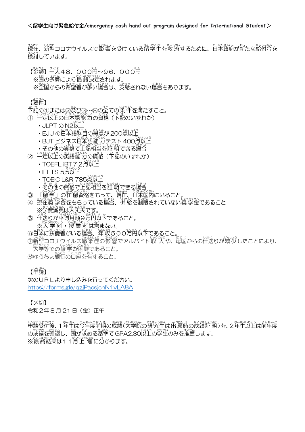<u>類雀、新塑コロナウイルスで影響を受けている留学生を救済するために、日本政府が新たな絡付金を</u> 検討 けんとう しています。

【釜額】一人48,000<sup>社</sup>~96,000<sup>社</sup> ※歯の予算により 終波定されます。 ※筌国からの希望者が爹い場合は、攴絡されない場合もあります。

【窶伴】

☆読の①または②及び③~⑧の全ての楽件を満たすこと。

- ① 『ごいじょう』にほんご紹介がの資格(下記のいずれか)
	- · JLPT の N2<sup>いじょう</sup>
	- ・EJU の日本語科自の得点が 200点以上
	- BJT ビジネス日本語能 カテスト 400点以上
	- ・その他の資格で上記相当を証づりできる場合
- ② 一定以上の英語能力の資格(卞記のいずれか)
	- TOEFL iBT72点以上
	- · IELTS 5.5以上
	- TOEIC L&R 785点以上
	- その他の資格で上記相当を証明できる場合
- ③ 「留学」の在留資格をもって、現社、日本国内にいること。
- ④ 現在獎学金をもらっている場合、併給を制限されていない獎学金であること 、<sub>がくひげんめん。だいじょうぶ</sub><br>※学費減免は大丈夫です。
- ⑤ 住送りが単均月額9方角以下であること。 ※入学料・授業料は含まない。
- ⑥日本に扶養者がいる場合、 徃 収 500万円以下であること。

⑦新型コロナウイルス感染症の影響でアルバイト収入や、母国からの仕送りが減少したことにより、 <u>。</u><br>大学等での修学が困難であること。

⑧ゆうちょ <sup>、</sup><br>⑧ゆうちょ <sup>、</sup> 銀行の口座を宥すること。

【単講】

次のURLより申し込みを行ってください。 <https://forms.gle/qzjPacsjchN1vLA8A>

【〆切】

令和2年 8 月 21 日(金)正午

い戦ジンク、1 笙出し、3倍を約束の放撃しい。 いきだい はっぴょう (物の)を、2 年生以上は前年度 の哉績を確認し、 国が求める基準で GPA2.30以上の学生のみを推薦します。 ※蕞終結巣は11月上旬に分かります。